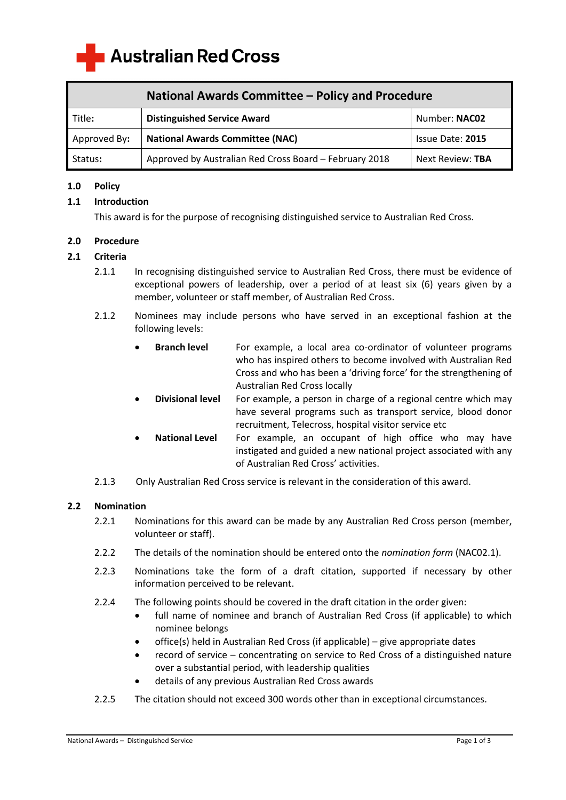**Australian Red Cross** 

| National Awards Committee - Policy and Procedure |                                                        |                  |
|--------------------------------------------------|--------------------------------------------------------|------------------|
| Title:                                           | <b>Distinguished Service Award</b>                     | Number: NAC02    |
| Approved By:                                     | <b>National Awards Committee (NAC)</b>                 | Issue Date: 2015 |
| Status:                                          | Approved by Australian Red Cross Board - February 2018 | Next Review: TBA |

### **1.0 Policy**

## **1.1 Introduction**

This award is for the purpose of recognising distinguished service to Australian Red Cross.

## **2.0 Procedure**

## **2.1 Criteria**

- 2.1.1 In recognising distinguished service to Australian Red Cross, there must be evidence of exceptional powers of leadership, over a period of at least six (6) years given by a member, volunteer or staff member, of Australian Red Cross.
- 2.1.2 Nominees may include persons who have served in an exceptional fashion at the following levels:
	- **Branch level** For example, a local area co-ordinator of volunteer programs who has inspired others to become involved with Australian Red Cross and who has been a 'driving force' for the strengthening of Australian Red Cross locally
	- **Divisional level** For example, a person in charge of a regional centre which may have several programs such as transport service, blood donor recruitment, Telecross, hospital visitor service etc
	- **National Level** For example, an occupant of high office who may have instigated and guided a new national project associated with any of Australian Red Cross' activities.
- 2.1.3 Only Australian Red Cross service is relevant in the consideration of this award.

#### **2.2 Nomination**

- 2.2.1 Nominations for this award can be made by any Australian Red Cross person (member, volunteer or staff).
- 2.2.2 The details of the nomination should be entered onto the *nomination form* (NAC02.1).
- 2.2.3 Nominations take the form of a draft citation, supported if necessary by other information perceived to be relevant.
- 2.2.4 The following points should be covered in the draft citation in the order given:
	- full name of nominee and branch of Australian Red Cross (if applicable) to which nominee belongs
	- $\bullet$  office(s) held in Australian Red Cross (if applicable) give appropriate dates
	- record of service concentrating on service to Red Cross of a distinguished nature over a substantial period, with leadership qualities
	- details of any previous Australian Red Cross awards
- 2.2.5 The citation should not exceed 300 words other than in exceptional circumstances.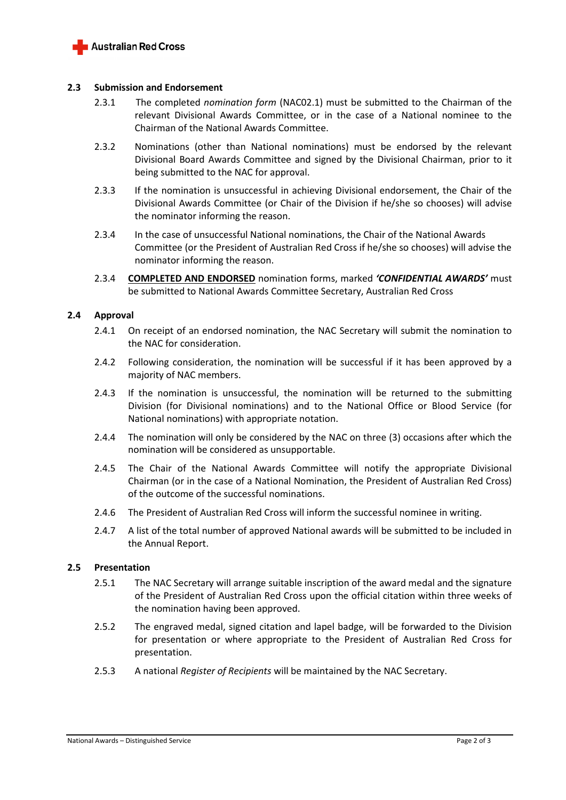

#### **2.3 Submission and Endorsement**

- 2.3.1 The completed *nomination form* (NAC02.1) must be submitted to the Chairman of the relevant Divisional Awards Committee, or in the case of a National nominee to the Chairman of the National Awards Committee.
- 2.3.2 Nominations (other than National nominations) must be endorsed by the relevant Divisional Board Awards Committee and signed by the Divisional Chairman, prior to it being submitted to the NAC for approval.
- 2.3.3 If the nomination is unsuccessful in achieving Divisional endorsement, the Chair of the Divisional Awards Committee (or Chair of the Division if he/she so chooses) will advise the nominator informing the reason.
- 2.3.4 In the case of unsuccessful National nominations, the Chair of the National Awards Committee (or the President of Australian Red Cross if he/she so chooses) will advise the nominator informing the reason.
- 2.3.4 **COMPLETED AND ENDORSED** nomination forms, marked *'CONFIDENTIAL AWARDS'* must be submitted to National Awards Committee Secretary, Australian Red Cross

## **2.4 Approval**

- 2.4.1 On receipt of an endorsed nomination, the NAC Secretary will submit the nomination to the NAC for consideration.
- 2.4.2 Following consideration, the nomination will be successful if it has been approved by a majority of NAC members.
- 2.4.3 If the nomination is unsuccessful, the nomination will be returned to the submitting Division (for Divisional nominations) and to the National Office or Blood Service (for National nominations) with appropriate notation.
- 2.4.4 The nomination will only be considered by the NAC on three (3) occasions after which the nomination will be considered as unsupportable.
- 2.4.5 The Chair of the National Awards Committee will notify the appropriate Divisional Chairman (or in the case of a National Nomination, the President of Australian Red Cross) of the outcome of the successful nominations.
- 2.4.6 The President of Australian Red Cross will inform the successful nominee in writing.
- 2.4.7 A list of the total number of approved National awards will be submitted to be included in the Annual Report.

#### **2.5 Presentation**

- 2.5.1 The NAC Secretary will arrange suitable inscription of the award medal and the signature of the President of Australian Red Cross upon the official citation within three weeks of the nomination having been approved.
- 2.5.2 The engraved medal, signed citation and lapel badge, will be forwarded to the Division for presentation or where appropriate to the President of Australian Red Cross for presentation.
- 2.5.3 A national *Register of Recipients* will be maintained by the NAC Secretary.